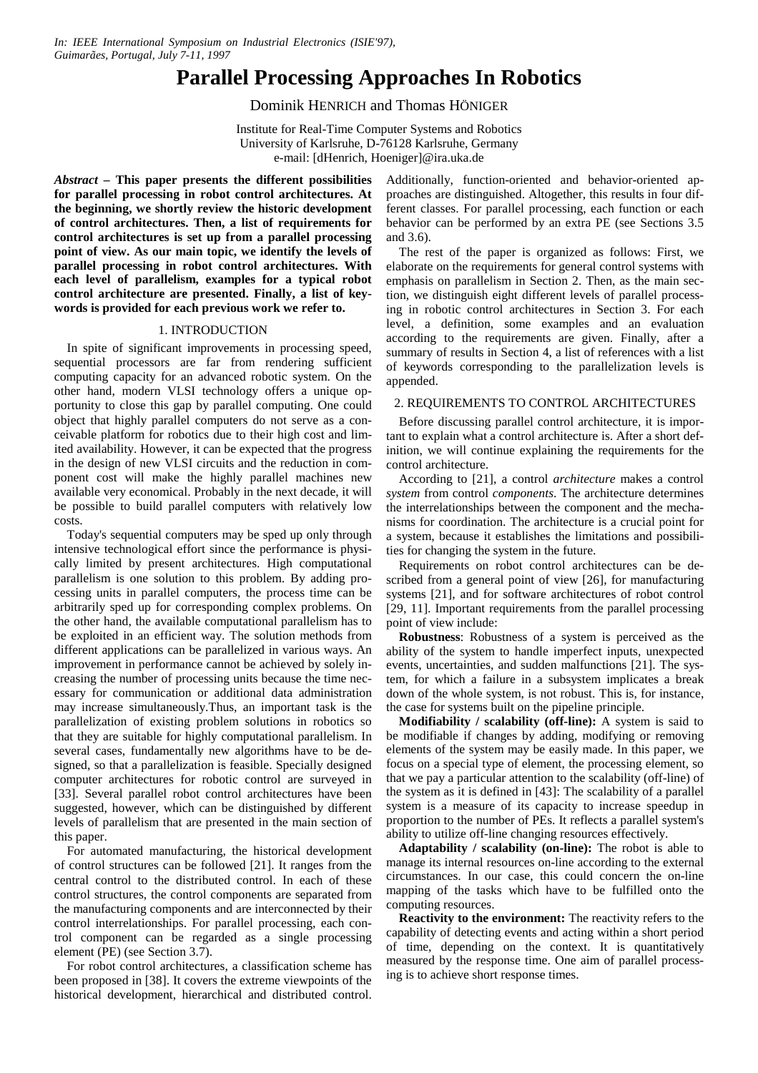# **Parallel Processing Approaches In Robotics**

Dominik HENRICH and Thomas HÖNIGER

Institute for Real-Time Computer Systems and Robotics University of Karlsruhe, D-76128 Karlsruhe, Germany e-mail: [dHenrich, Hoeniger]@ira.uka.de

*Abstract* **– This paper presents the different possibilities for parallel processing in robot control architectures. At the beginning, we shortly review the historic development of control architectures. Then, a list of requirements for control architectures is set up from a parallel processing point of view. As our main topic, we identify the levels of parallel processing in robot control architectures. With each level of parallelism, examples for a typical robot control architecture are presented. Finally, a list of keywords is provided for each previous work we refer to.**

## 1. INTRODUCTION

In spite of significant improvements in processing speed, sequential processors are far from rendering sufficient computing capacity for an advanced robotic system. On the other hand, modern VLSI technology offers a unique opportunity to close this gap by parallel computing. One could object that highly parallel computers do not serve as a conceivable platform for robotics due to their high cost and limited availability. However, it can be expected that the progress in the design of new VLSI circuits and the reduction in component cost will make the highly parallel machines new available very economical. Probably in the next decade, it will be possible to build parallel computers with relatively low costs.

Today's sequential computers may be sped up only through intensive technological effort since the performance is physically limited by present architectures. High computational parallelism is one solution to this problem. By adding processing units in parallel computers, the process time can be arbitrarily sped up for corresponding complex problems. On the other hand, the available computational parallelism has to be exploited in an efficient way. The solution methods from different applications can be parallelized in various ways. An improvement in performance cannot be achieved by solely increasing the number of processing units because the time necessary for communication or additional data administration may increase simultaneously.Thus, an important task is the parallelization of existing problem solutions in robotics so that they are suitable for highly computational parallelism. In several cases, fundamentally new algorithms have to be designed, so that a parallelization is feasible. Specially designed computer architectures for robotic control are surveyed in [33]. Several parallel robot control architectures have been suggested, however, which can be distinguished by different levels of parallelism that are presented in the main section of this paper.

For automated manufacturing, the historical development of control structures can be followed [21]. It ranges from the central control to the distributed control. In each of these control structures, the control components are separated from the manufacturing components and are interconnected by their control interrelationships. For parallel processing, each control component can be regarded as a single processing element (PE) (see Section 3.7).

For robot control architectures, a classification scheme has been proposed in [38]. It covers the extreme viewpoints of the historical development, hierarchical and distributed control.

Additionally, function-oriented and behavior-oriented approaches are distinguished. Altogether, this results in four different classes. For parallel processing, each function or each behavior can be performed by an extra PE (see Sections 3.5 and 3.6).

The rest of the paper is organized as follows: First, we elaborate on the requirements for general control systems with emphasis on parallelism in Section 2. Then, as the main section, we distinguish eight different levels of parallel processing in robotic control architectures in Section 3. For each level, a definition, some examples and an evaluation according to the requirements are given. Finally, after a summary of results in Section 4, a list of references with a list of keywords corresponding to the parallelization levels is appended.

### 2. REQUIREMENTS TO CONTROL ARCHITECTURES

Before discussing parallel control architecture, it is important to explain what a control architecture is. After a short definition, we will continue explaining the requirements for the control architecture.

According to [21], a control *architecture* makes a control *system* from control *components*. The architecture determines the interrelationships between the component and the mechanisms for coordination. The architecture is a crucial point for a system, because it establishes the limitations and possibilities for changing the system in the future.

Requirements on robot control architectures can be described from a general point of view [26], for manufacturing systems [21], and for software architectures of robot control [29, 11]. Important requirements from the parallel processing point of view include:

**Robustness**: Robustness of a system is perceived as the ability of the system to handle imperfect inputs, unexpected events, uncertainties, and sudden malfunctions [21]. The system, for which a failure in a subsystem implicates a break down of the whole system, is not robust. This is, for instance, the case for systems built on the pipeline principle.

**Modifiability / scalability (off-line):** A system is said to be modifiable if changes by adding, modifying or removing elements of the system may be easily made. In this paper, we focus on a special type of element, the processing element, so that we pay a particular attention to the scalability (off-line) of the system as it is defined in [43]: The scalability of a parallel system is a measure of its capacity to increase speedup in proportion to the number of PEs. It reflects a parallel system's ability to utilize off-line changing resources effectively.

**Adaptability / scalability (on-line):** The robot is able to manage its internal resources on-line according to the external circumstances. In our case, this could concern the on-line mapping of the tasks which have to be fulfilled onto the computing resources.

**Reactivity to the environment:** The reactivity refers to the capability of detecting events and acting within a short period of time, depending on the context. It is quantitatively measured by the response time. One aim of parallel processing is to achieve short response times.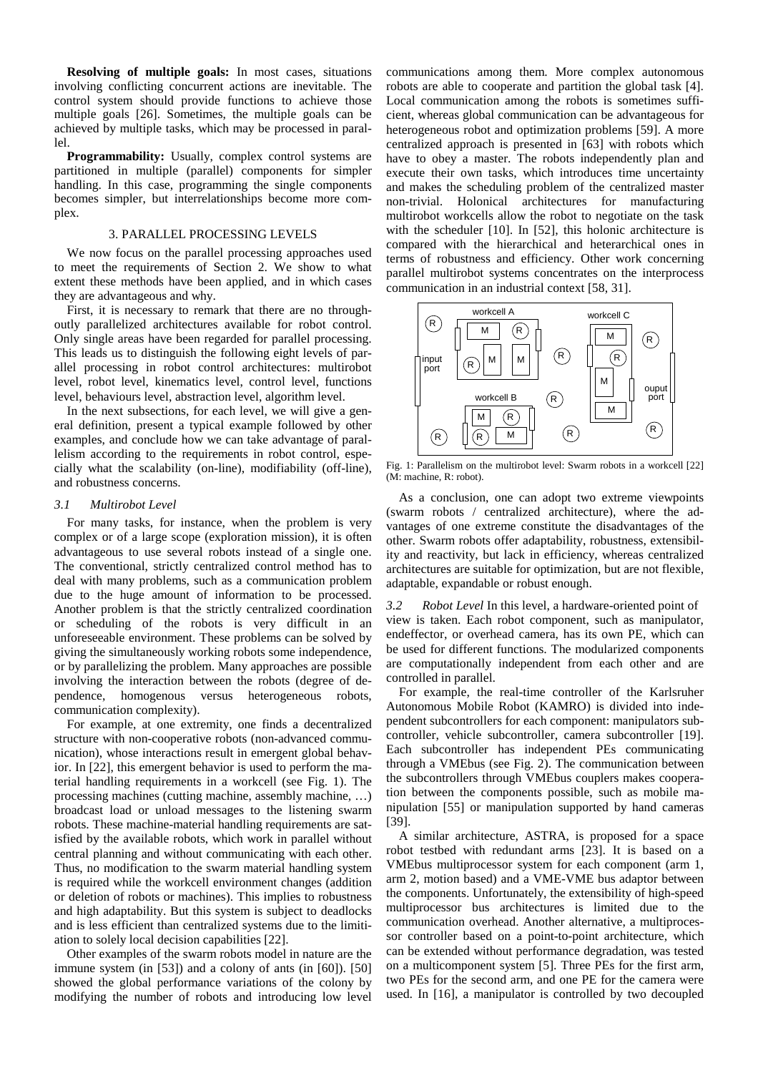**Resolving of multiple goals:** In most cases, situations involving conflicting concurrent actions are inevitable. The control system should provide functions to achieve those multiple goals [26]. Sometimes, the multiple goals can be achieved by multiple tasks, which may be processed in parallel.

**Programmability:** Usually, complex control systems are partitioned in multiple (parallel) components for simpler handling. In this case, programming the single components becomes simpler, but interrelationships become more complex.

### 3. PARALLEL PROCESSING LEVELS

We now focus on the parallel processing approaches used to meet the requirements of Section 2. We show to what extent these methods have been applied, and in which cases they are advantageous and why.

First, it is necessary to remark that there are no throughoutly parallelized architectures available for robot control. Only single areas have been regarded for parallel processing. This leads us to distinguish the following eight levels of parallel processing in robot control architectures: multirobot level, robot level, kinematics level, control level, functions level, behaviours level, abstraction level, algorithm level.

In the next subsections, for each level, we will give a general definition, present a typical example followed by other examples, and conclude how we can take advantage of parallelism according to the requirements in robot control, especially what the scalability (on-line), modifiability (off-line), and robustness concerns.

#### *3.1 Multirobot Level*

For many tasks, for instance, when the problem is very complex or of a large scope (exploration mission), it is often advantageous to use several robots instead of a single one. The conventional, strictly centralized control method has to deal with many problems, such as a communication problem due to the huge amount of information to be processed. Another problem is that the strictly centralized coordination or scheduling of the robots is very difficult in an unforeseeable environment. These problems can be solved by giving the simultaneously working robots some independence, or by parallelizing the problem. Many approaches are possible involving the interaction between the robots (degree of dependence, homogenous versus heterogeneous robots, communication complexity).

For example, at one extremity, one finds a decentralized structure with non-cooperative robots (non-advanced communication), whose interactions result in emergent global behavior. In [22], this emergent behavior is used to perform the material handling requirements in a workcell (see Fig. 1). The processing machines (cutting machine, assembly machine, …) broadcast load or unload messages to the listening swarm robots. These machine-material handling requirements are satisfied by the available robots, which work in parallel without central planning and without communicating with each other. Thus, no modification to the swarm material handling system is required while the workcell environment changes (addition or deletion of robots or machines). This implies to robustness and high adaptability. But this system is subject to deadlocks and is less efficient than centralized systems due to the limitiation to solely local decision capabilities [22].

Other examples of the swarm robots model in nature are the immune system (in [53]) and a colony of ants (in [60]). [50] showed the global performance variations of the colony by modifying the number of robots and introducing low level communications among them. More complex autonomous robots are able to cooperate and partition the global task [4]. Local communication among the robots is sometimes sufficient, whereas global communication can be advantageous for heterogeneous robot and optimization problems [59]. A more centralized approach is presented in [63] with robots which have to obey a master. The robots independently plan and execute their own tasks, which introduces time uncertainty and makes the scheduling problem of the centralized master non-trivial. Holonical architectures for manufacturing multirobot workcells allow the robot to negotiate on the task with the scheduler [10]. In [52], this holonic architecture is compared with the hierarchical and heterarchical ones in terms of robustness and efficiency. Other work concerning parallel multirobot systems concentrates on the interprocess communication in an industrial context [58, 31].



Fig. 1: Parallelism on the multirobot level: Swarm robots in a workcell [22] (M: machine, R: robot).

As a conclusion, one can adopt two extreme viewpoints (swarm robots / centralized architecture), where the advantages of one extreme constitute the disadvantages of the other. Swarm robots offer adaptability, robustness, extensibility and reactivity, but lack in efficiency, whereas centralized architectures are suitable for optimization, but are not flexible, adaptable, expandable or robust enough.

*3.2 Robot Level* In this level, a hardware-oriented point of view is taken. Each robot component, such as manipulator, endeffector, or overhead camera, has its own PE, which can be used for different functions. The modularized components are computationally independent from each other and are controlled in parallel.

For example, the real-time controller of the Karlsruher Autonomous Mobile Robot (KAMRO) is divided into independent subcontrollers for each component: manipulators subcontroller, vehicle subcontroller, camera subcontroller [19]. Each subcontroller has independent PEs communicating through a VMEbus (see Fig. 2). The communication between the subcontrollers through VMEbus couplers makes cooperation between the components possible, such as mobile manipulation [55] or manipulation supported by hand cameras [39].

A similar architecture, ASTRA, is proposed for a space robot testbed with redundant arms [23]. It is based on a VMEbus multiprocessor system for each component (arm 1, arm 2, motion based) and a VME-VME bus adaptor between the components. Unfortunately, the extensibility of high-speed multiprocessor bus architectures is limited due to the communication overhead. Another alternative, a multiprocessor controller based on a point-to-point architecture, which can be extended without performance degradation, was tested on a multicomponent system [5]. Three PEs for the first arm, two PEs for the second arm, and one PE for the camera were used. In [16], a manipulator is controlled by two decoupled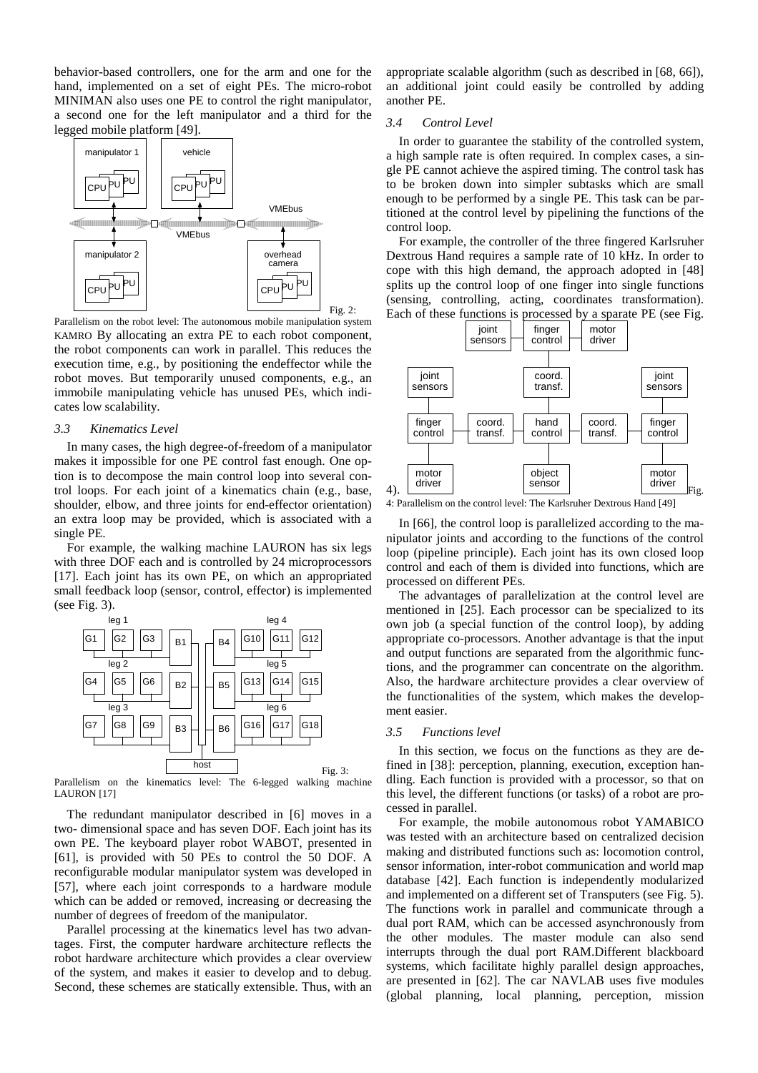behavior-based controllers, one for the arm and one for the hand, implemented on a set of eight PEs. The micro-robot MINIMAN also uses one PE to control the right manipulator, a second one for the left manipulator and a third for the legged mobile platform [49].



Parallelism on the robot level: The autonomous mobile manipulation system KAMRO By allocating an extra PE to each robot component, the robot components can work in parallel. This reduces the execution time, e.g., by positioning the endeffector while the robot moves. But temporarily unused components, e.g., an immobile manipulating vehicle has unused PEs, which indicates low scalability.

## *3.3 Kinematics Level*

In many cases, the high degree-of-freedom of a manipulator makes it impossible for one PE control fast enough. One option is to decompose the main control loop into several control loops. For each joint of a kinematics chain (e.g., base, shoulder, elbow, and three joints for end-effector orientation) an extra loop may be provided, which is associated with a single PE.

For example, the walking machine LAURON has six legs with three DOF each and is controlled by 24 microprocessors [17]. Each joint has its own PE, on which an appropriated small feedback loop (sensor, control, effector) is implemented (see Fig. 3).



Parallelism on the kinematics level: The 6-legged walking machine LAURON [17]

The redundant manipulator described in [6] moves in a two- dimensional space and has seven DOF. Each joint has its own PE. The keyboard player robot WABOT, presented in [61], is provided with 50 PEs to control the 50 DOF. A reconfigurable modular manipulator system was developed in [57], where each joint corresponds to a hardware module which can be added or removed, increasing or decreasing the number of degrees of freedom of the manipulator.

Parallel processing at the kinematics level has two advantages. First, the computer hardware architecture reflects the robot hardware architecture which provides a clear overview of the system, and makes it easier to develop and to debug. Second, these schemes are statically extensible. Thus, with an appropriate scalable algorithm (such as described in [68, 66]), an additional joint could easily be controlled by adding another PE.

## *3.4 Control Level*

In order to guarantee the stability of the controlled system, a high sample rate is often required. In complex cases, a single PE cannot achieve the aspired timing. The control task has to be broken down into simpler subtasks which are small enough to be performed by a single PE. This task can be partitioned at the control level by pipelining the functions of the control loop.

For example, the controller of the three fingered Karlsruher Dextrous Hand requires a sample rate of 10 kHz. In order to cope with this high demand, the approach adopted in [48] splits up the control loop of one finger into single functions (sensing, controlling, acting, coordinates transformation). Each of these functions is processed by a sparate PE (see Fig.



4: Parallelism on the control level: The Karlsruher Dextrous Hand [49]

In [66], the control loop is parallelized according to the manipulator joints and according to the functions of the control loop (pipeline principle). Each joint has its own closed loop control and each of them is divided into functions, which are processed on different PEs.

The advantages of parallelization at the control level are mentioned in [25]. Each processor can be specialized to its own job (a special function of the control loop), by adding appropriate co-processors. Another advantage is that the input and output functions are separated from the algorithmic functions, and the programmer can concentrate on the algorithm. Also, the hardware architecture provides a clear overview of the functionalities of the system, which makes the development easier.

### *3.5 Functions level*

In this section, we focus on the functions as they are defined in [38]: perception, planning, execution, exception handling. Each function is provided with a processor, so that on this level, the different functions (or tasks) of a robot are processed in parallel.

For example, the mobile autonomous robot YAMABICO was tested with an architecture based on centralized decision making and distributed functions such as: locomotion control, sensor information, inter-robot communication and world map database [42]. Each function is independently modularized and implemented on a different set of Transputers (see Fig. 5). The functions work in parallel and communicate through a dual port RAM, which can be accessed asynchronously from the other modules. The master module can also send interrupts through the dual port RAM.Different blackboard systems, which facilitate highly parallel design approaches, are presented in [62]. The car NAVLAB uses five modules (global planning, local planning, perception, mission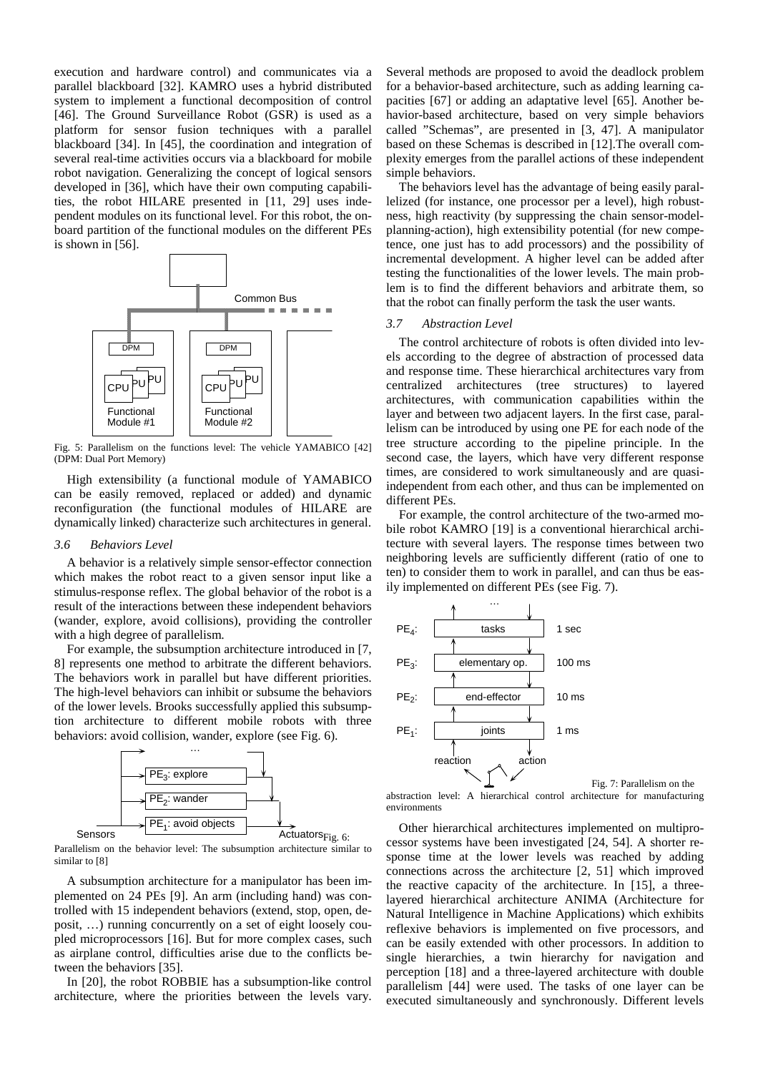execution and hardware control) and communicates via a parallel blackboard [32]. KAMRO uses a hybrid distributed system to implement a functional decomposition of control [46]. The Ground Surveillance Robot (GSR) is used as a platform for sensor fusion techniques with a parallel blackboard [34]. In [45], the coordination and integration of several real-time activities occurs via a blackboard for mobile robot navigation. Generalizing the concept of logical sensors developed in [36], which have their own computing capabilities, the robot HILARE presented in [11, 29] uses independent modules on its functional level. For this robot, the onboard partition of the functional modules on the different PEs is shown in [56].



Fig. 5: Parallelism on the functions level: The vehicle YAMABICO [42] (DPM: Dual Port Memory)

High extensibility (a functional module of YAMABICO can be easily removed, replaced or added) and dynamic reconfiguration (the functional modules of HILARE are dynamically linked) characterize such architectures in general.

#### *3.6 Behaviors Level*

A behavior is a relatively simple sensor-effector connection which makes the robot react to a given sensor input like a stimulus-response reflex. The global behavior of the robot is a result of the interactions between these independent behaviors (wander, explore, avoid collisions), providing the controller with a high degree of parallelism.

For example, the subsumption architecture introduced in [7, 8] represents one method to arbitrate the different behaviors. The behaviors work in parallel but have different priorities. The high-level behaviors can inhibit or subsume the behaviors of the lower levels. Brooks successfully applied this subsumption architecture to different mobile robots with three behaviors: avoid collision, wander, explore (see Fig. 6).



Parallelism on the behavior level: The subsumption architecture similar to similar to [8]

A subsumption architecture for a manipulator has been implemented on 24 PEs [9]. An arm (including hand) was controlled with 15 independent behaviors (extend, stop, open, deposit, …) running concurrently on a set of eight loosely coupled microprocessors [16]. But for more complex cases, such as airplane control, difficulties arise due to the conflicts between the behaviors [35].

In [20], the robot ROBBIE has a subsumption-like control architecture, where the priorities between the levels vary.

Several methods are proposed to avoid the deadlock problem for a behavior-based architecture, such as adding learning capacities [67] or adding an adaptative level [65]. Another behavior-based architecture, based on very simple behaviors called "Schemas", are presented in [3, 47]. A manipulator based on these Schemas is described in [12].The overall complexity emerges from the parallel actions of these independent simple behaviors.

The behaviors level has the advantage of being easily parallelized (for instance, one processor per a level), high robustness, high reactivity (by suppressing the chain sensor-modelplanning-action), high extensibility potential (for new competence, one just has to add processors) and the possibility of incremental development. A higher level can be added after testing the functionalities of the lower levels. The main problem is to find the different behaviors and arbitrate them, so that the robot can finally perform the task the user wants.

#### *3.7 Abstraction Level*

The control architecture of robots is often divided into levels according to the degree of abstraction of processed data and response time. These hierarchical architectures vary from centralized architectures (tree structures) to layered architectures, with communication capabilities within the layer and between two adjacent layers. In the first case, parallelism can be introduced by using one PE for each node of the tree structure according to the pipeline principle. In the second case, the layers, which have very different response times, are considered to work simultaneously and are quasiindependent from each other, and thus can be implemented on different PEs.

For example, the control architecture of the two-armed mobile robot KAMRO [19] is a conventional hierarchical architecture with several layers. The response times between two neighboring levels are sufficiently different (ratio of one to ten) to consider them to work in parallel, and can thus be easily implemented on different PEs (see Fig. 7).



abstraction level: A hierarchical control architecture for manufacturing environments

Other hierarchical architectures implemented on multiprocessor systems have been investigated [24, 54]. A shorter response time at the lower levels was reached by adding connections across the architecture [2, 51] which improved the reactive capacity of the architecture. In [15], a threelayered hierarchical architecture ANIMA (Architecture for Natural Intelligence in Machine Applications) which exhibits reflexive behaviors is implemented on five processors, and can be easily extended with other processors. In addition to single hierarchies, a twin hierarchy for navigation and perception [18] and a three-layered architecture with double parallelism [44] were used. The tasks of one layer can be executed simultaneously and synchronously. Different levels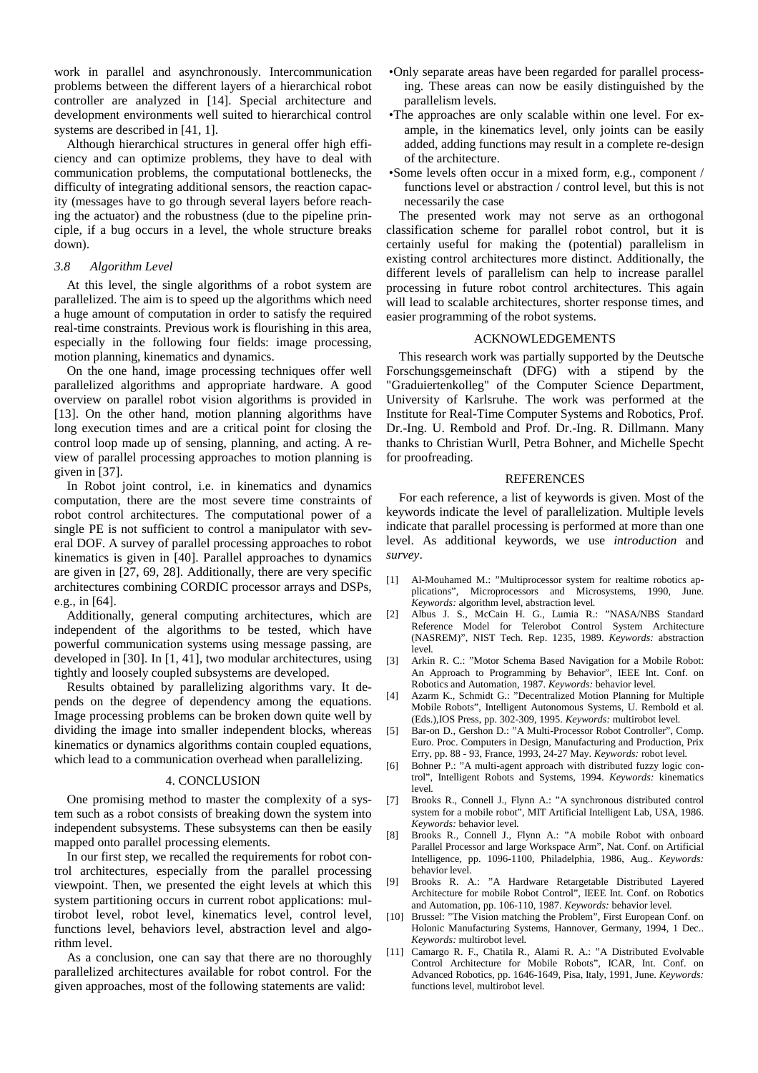work in parallel and asynchronously. Intercommunication problems between the different layers of a hierarchical robot controller are analyzed in [14]. Special architecture and development environments well suited to hierarchical control systems are described in [41, 1].

Although hierarchical structures in general offer high efficiency and can optimize problems, they have to deal with communication problems, the computational bottlenecks, the difficulty of integrating additional sensors, the reaction capacity (messages have to go through several layers before reaching the actuator) and the robustness (due to the pipeline principle, if a bug occurs in a level, the whole structure breaks down).

## *3.8 Algorithm Level*

At this level, the single algorithms of a robot system are parallelized. The aim is to speed up the algorithms which need a huge amount of computation in order to satisfy the required real-time constraints. Previous work is flourishing in this area, especially in the following four fields: image processing, motion planning, kinematics and dynamics.

On the one hand, image processing techniques offer well parallelized algorithms and appropriate hardware. A good overview on parallel robot vision algorithms is provided in [13]. On the other hand, motion planning algorithms have long execution times and are a critical point for closing the control loop made up of sensing, planning, and acting. A review of parallel processing approaches to motion planning is given in [37].

In Robot joint control, i.e. in kinematics and dynamics computation, there are the most severe time constraints of robot control architectures. The computational power of a single PE is not sufficient to control a manipulator with several DOF. A survey of parallel processing approaches to robot kinematics is given in [40]. Parallel approaches to dynamics are given in [27, 69, 28]. Additionally, there are very specific architectures combining CORDIC processor arrays and DSPs, e.g., in [64].

Additionally, general computing architectures, which are independent of the algorithms to be tested, which have powerful communication systems using message passing, are developed in [30]. In [1, 41], two modular architectures, using tightly and loosely coupled subsystems are developed.

Results obtained by parallelizing algorithms vary. It depends on the degree of dependency among the equations. Image processing problems can be broken down quite well by dividing the image into smaller independent blocks, whereas kinematics or dynamics algorithms contain coupled equations, which lead to a communication overhead when parallelizing.

#### 4. CONCLUSION

One promising method to master the complexity of a system such as a robot consists of breaking down the system into independent subsystems. These subsystems can then be easily mapped onto parallel processing elements.

In our first step, we recalled the requirements for robot control architectures, especially from the parallel processing viewpoint. Then, we presented the eight levels at which this system partitioning occurs in current robot applications: multirobot level, robot level, kinematics level, control level, functions level, behaviors level, abstraction level and algorithm level.

As a conclusion, one can say that there are no thoroughly parallelized architectures available for robot control. For the given approaches, most of the following statements are valid:

- Only separate areas have been regarded for parallel processing. These areas can now be easily distinguished by the parallelism levels.
- The approaches are only scalable within one level. For example, in the kinematics level, only joints can be easily added, adding functions may result in a complete re-design of the architecture.
- Some levels often occur in a mixed form, e.g., component / functions level or abstraction / control level, but this is not necessarily the case

The presented work may not serve as an orthogonal classification scheme for parallel robot control, but it is certainly useful for making the (potential) parallelism in existing control architectures more distinct. Additionally, the different levels of parallelism can help to increase parallel processing in future robot control architectures. This again will lead to scalable architectures, shorter response times, and easier programming of the robot systems.

#### ACKNOWLEDGEMENTS

This research work was partially supported by the Deutsche Forschungsgemeinschaft (DFG) with a stipend by the "Graduiertenkolleg" of the Computer Science Department, University of Karlsruhe. The work was performed at the Institute for Real-Time Computer Systems and Robotics, Prof. Dr.-Ing. U. Rembold and Prof. Dr.-Ing. R. Dillmann. Many thanks to Christian Wurll, Petra Bohner, and Michelle Specht for proofreading.

#### **REFERENCES**

For each reference, a list of keywords is given. Most of the keywords indicate the level of parallelization. Multiple levels indicate that parallel processing is performed at more than one level. As additional keywords, we use *introduction* and *survey*.

- [1] Al-Mouhamed M.: "Multiprocessor system for realtime robotics applications", Microprocessors and Microsystems, 1990, June. *Keywords:* algorithm level, abstraction level*.*
- [2] Albus J. S., McCain H. G., Lumia R.: "NASA/NBS Standard Reference Model for Telerobot Control System Architecture (NASREM)", NIST Tech. Rep. 1235, 1989. *Keywords:* abstraction level*.*
- [3] Arkin R. C.: "Motor Schema Based Navigation for a Mobile Robot: An Approach to Programming by Behavior", IEEE Int. Conf. on Robotics and Automation, 1987. *Keywords:* behavior level*.*
- [4] Azarm K., Schmidt G.: "Decentralized Motion Planning for Multiple Mobile Robots", Intelligent Autonomous Systems, U. Rembold et al. (Eds.),IOS Press, pp. 302-309, 1995. *Keywords:* multirobot level*.*
- [5] Bar-on D., Gershon D.: "A Multi-Processor Robot Controller", Comp. Euro. Proc. Computers in Design, Manufacturing and Production, Prix Erry, pp. 88 - 93, France, 1993, 24-27 May. *Keywords:* robot level*.*
- [6] Bohner P.: "A multi-agent approach with distributed fuzzy logic control", Intelligent Robots and Systems, 1994. *Keywords:* kinematics level*.*
- [7] Brooks R., Connell J., Flynn A.: "A synchronous distributed control system for a mobile robot", MIT Artificial Intelligent Lab, USA, 1986. *Keywords:* behavior level*.*
- [8] Brooks R., Connell J., Flynn A.: "A mobile Robot with onboard Parallel Processor and large Workspace Arm", Nat. Conf. on Artificial Intelligence, pp. 1096-1100, Philadelphia, 1986, Aug.. *Keywords:*  behavior level*.*
- [9] Brooks R. A.: "A Hardware Retargetable Distributed Layered Architecture for mobile Robot Control", IEEE Int. Conf. on Robotics and Automation, pp. 106-110, 1987. *Keywords:* behavior level*.*
- [10] Brussel: "The Vision matching the Problem", First European Conf. on Holonic Manufacturing Systems, Hannover, Germany, 1994, 1 Dec.. *Keywords:* multirobot level*.*
- [11] Camargo R. F., Chatila R., Alami R. A.: "A Distributed Evolvable Control Architecture for Mobile Robots", ICAR, Int. Conf. on Advanced Robotics, pp. 1646-1649, Pisa, Italy, 1991, June. *Keywords:*  functions level, multirobot level*.*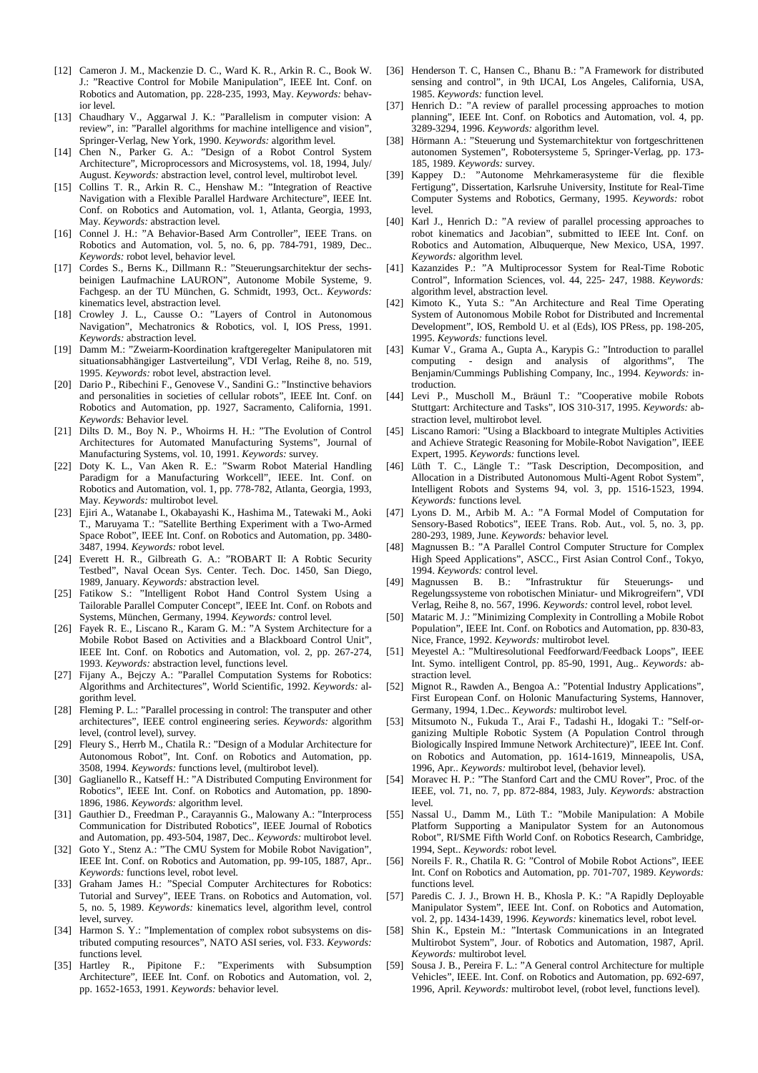- [12] Cameron J. M., Mackenzie D. C., Ward K. R., Arkin R. C., Book W. J.: "Reactive Control for Mobile Manipulation", IEEE Int. Conf. on Robotics and Automation, pp. 228-235, 1993, May. *Keywords:* behavior level*.*
- [13] Chaudhary V., Aggarwal J. K.: "Parallelism in computer vision: A review", in: "Parallel algorithms for machine intelligence and vision", Springer-Verlag, New York, 1990. *Keywords:* algorithm level*.*
- [14] Chen N., Parker G. A.: "Design of a Robot Control System Architecture", Microprocessors and Microsystems, vol. 18, 1994, July/ August. *Keywords:* abstraction level, control level, multirobot level*.*
- [15] Collins T. R., Arkin R. C., Henshaw M.: "Integration of Reactive Navigation with a Flexible Parallel Hardware Architecture", IEEE Int. Conf. on Robotics and Automation, vol. 1, Atlanta, Georgia, 1993, May. *Keywords:* abstraction level*.*
- [16] Connel J. H.: "A Behavior-Based Arm Controller", IEEE Trans. on Robotics and Automation, vol. 5, no. 6, pp. 784-791, 1989, Dec.. *Keywords:* robot level, behavior level*.*
- [17] Cordes S., Berns K., Dillmann R.: "Steuerungsarchitektur der sechsbeinigen Laufmachine LAURON", Autonome Mobile Systeme, 9. Fachgesp. an der TU München, G. Schmidt, 1993, Oct.. *Keywords:*  kinematics level, abstraction level*.*
- [18] Crowley J. L., Causse O.: "Layers of Control in Autonomous Navigation", Mechatronics & Robotics, vol. I, IOS Press, 1991. *Keywords:* abstraction level*.*
- [19] Damm M.: "Zweiarm-Koordination kraftgeregelter Manipulatoren mit situationsabhängiger Lastverteilung", VDI Verlag, Reihe 8, no. 519, 1995. *Keywords:* robot level, abstraction level*.*
- [20] Dario P., Ribechini F., Genovese V., Sandini G.: "Instinctive behaviors and personalities in societies of cellular robots", IEEE Int. Conf. on Robotics and Automation, pp. 1927, Sacramento, California, 1991. *Keywords:* Behavior level*.*
- [21] Dilts D. M., Boy N. P., Whoirms H. H.: "The Evolution of Control Architectures for Automated Manufacturing Systems", Journal of Manufacturing Systems, vol. 10, 1991. *Keywords:* survey*.*
- [22] Doty K. L., Van Aken R. E.: "Swarm Robot Material Handling Paradigm for a Manufacturing Workcell", IEEE. Int. Conf. on Robotics and Automation, vol. 1, pp. 778-782, Atlanta, Georgia, 1993, May. *Keywords:* multirobot level*.*
- [23] Ejiri A., Watanabe I., Okabayashi K., Hashima M., Tatewaki M., Aoki T., Maruyama T.: "Satellite Berthing Experiment with a Two-Armed Space Robot", IEEE Int. Conf. on Robotics and Automation, pp. 3480- 3487, 1994. *Keywords:* robot level*.*
- [24] Everett H. R., Gilbreath G. A.: "ROBART II: A Robtic Security Testbed", Naval Ocean Sys. Center. Tech. Doc. 1450, San Diego, 1989, January. *Keywords:* abstraction level*.*
- [25] Fatikow S.: "Intelligent Robot Hand Control System Using a Tailorable Parallel Computer Concept", IEEE Int. Conf. on Robots and Systems, München, Germany, 1994. *Keywords:* control level*.*
- [26] Fayek R. E., Liscano R., Karam G. M.: "A System Architecture for a Mobile Robot Based on Activities and a Blackboard Control Unit", IEEE Int. Conf. on Robotics and Automation, vol. 2, pp. 267-274, 1993. *Keywords:* abstraction level, functions level*.*
- [27] Fijany A., Bejczy A.: "Parallel Computation Systems for Robotics: Algorithms and Architectures", World Scientific, 1992. *Keywords:* algorithm level*.*
- [28] Fleming P. L.: "Parallel processing in control: The transputer and other architectures", IEEE control engineering series. *Keywords:* algorithm level, (control level), survey*.*
- [29] Fleury S., Herrb M., Chatila R.: "Design of a Modular Architecture for Autonomous Robot", Int. Conf. on Robotics and Automation, pp. 3508, 1994. *Keywords:* functions level, (multirobot level)*.*
- [30] Gaglianello R., Katseff H.: "A Distributed Computing Environment for Robotics", IEEE Int. Conf. on Robotics and Automation, pp. 1890- 1896, 1986. *Keywords:* algorithm level*.*
- [31] Gauthier D., Freedman P., Carayannis G., Malowany A.: "Interprocess Communication for Distributed Robotics", IEEE Journal of Robotics and Automation, pp. 493-504, 1987, Dec.. *Keywords:* multirobot level*.*
- [32] Goto Y., Stenz A.: "The CMU System for Mobile Robot Navigation", IEEE Int. Conf. on Robotics and Automation, pp. 99-105, 1887, Apr.. *Keywords:* functions level, robot level*.*
- [33] Graham James H.: "Special Computer Architectures for Robotics: Tutorial and Survey", IEEE Trans. on Robotics and Automation, vol. 5, no. 5, 1989. *Keywords:* kinematics level, algorithm level, control level, survey*.*
- [34] Harmon S. Y.: "Implementation of complex robot subsystems on distributed computing resources", NATO ASI series, vol. F33. *Keywords:*  functions level*.*
- [35] Hartley R., Pipitone F.: "Experiments with Subsumption Architecture", IEEE Int. Conf. on Robotics and Automation, vol. 2, pp. 1652-1653, 1991. *Keywords:* behavior level*.*
- [36] Henderson T. C, Hansen C., Bhanu B.: "A Framework for distributed sensing and control", in 9th IJCAI, Los Angeles, California, USA, 1985. *Keywords:* function level*.*
- [37] Henrich D.: "A review of parallel processing approaches to motion planning", IEEE Int. Conf. on Robotics and Automation, vol. 4, pp. 3289-3294, 1996. *Keywords:* algorithm level*.*
- [38] Hörmann A.: "Steuerung und Systemarchitektur von fortgeschrittenen autonomen Systemen", Robotersysteme 5, Springer-Verlag, pp. 173- 185, 1989. *Keywords:* survey*.*
- [39] Kappey D.: "Autonome Mehrkamerasysteme für die flexible Fertigung", Dissertation, Karlsruhe University, Institute for Real-Time Computer Systems and Robotics, Germany, 1995. *Keywords:* robot level*.*
- [40] Karl J., Henrich D.: "A review of parallel processing approaches to robot kinematics and Jacobian", submitted to IEEE Int. Conf. on Robotics and Automation, Albuquerque, New Mexico, USA, 1997. *Keywords:* algorithm level*.*
- [41] Kazanzides P.: "A Multiprocessor System for Real-Time Robotic Control", Information Sciences, vol. 44, 225- 247, 1988. *Keywords:*  algorithm level, abstraction level*.*
- [42] Kimoto K., Yuta S.: "An Architecture and Real Time Operating System of Autonomous Mobile Robot for Distributed and Incremental Development", IOS, Rembold U. et al (Eds), IOS PRess, pp. 198-205, 1995. *Keywords:* functions level*.*
- [43] Kumar V., Grama A., Gupta A., Karypis G.: "Introduction to parallel computing - design and analysis of algorithms", The Benjamin/Cummings Publishing Company, Inc., 1994. *Keywords:* introduction*.*
- [44] Levi P., Muscholl M., Bräunl T.: "Cooperative mobile Robots Stuttgart: Architecture and Tasks", IOS 310-317, 1995. *Keywords:* abstraction level, multirobot level*.*
- [45] Liscano Ramori: "Using a Blackboard to integrate Multiples Activities and Achieve Strategic Reasoning for Mobile-Robot Navigation", IEEE Expert, 1995. *Keywords:* functions level*.*
- [46] Lüth T. C., Längle T.: "Task Description, Decomposition, and Allocation in a Distributed Autonomous Multi-Agent Robot System", Intelligent Robots and Systems 94, vol. 3, pp. 1516-1523, 1994. *Keywords:* functions level*.*
- [47] Lyons D. M., Arbib M. A.: "A Formal Model of Computation for Sensory-Based Robotics", IEEE Trans. Rob. Aut., vol. 5, no. 3, pp. 280-293, 1989, June. *Keywords:* behavior level*.*
- [48] Magnussen B.: "A Parallel Control Computer Structure for Complex High Speed Applications", ASCC., First Asian Control Conf., Tokyo, 1994. *Keywords:* control level*.*
- [49] Magnussen B. B.: "Infrastruktur für Steuerungs-Regelungssysteme von robotischen Miniatur- und Mikrogreifern", VDI Verlag, Reihe 8, no. 567, 1996. *Keywords:* control level, robot level*.*
- [50] Mataric M. J.: "Minimizing Complexity in Controlling a Mobile Robot Population", IEEE Int. Conf. on Robotics and Automation, pp. 830-83, Nice, France, 1992. *Keywords:* multirobot level*.*
- [51] Meyestel A.: "Multiresolutional Feedforward/Feedback Loops", IEEE Int. Symo. intelligent Control, pp. 85-90, 1991, Aug.. *Keywords:* abstraction level*.*
- [52] Mignot R., Rawden A., Bengoa A.: "Potential Industry Applications", First European Conf. on Holonic Manufacturing Systems, Hannover, Germany, 1994, 1.Dec.. *Keywords:* multirobot level*.*
- [53] Mitsumoto N., Fukuda T., Arai F., Tadashi H., Idogaki T.: "Self-organizing Multiple Robotic System (A Population Control through Biologically Inspired Immune Network Architecture)", IEEE Int. Conf. on Robotics and Automation, pp. 1614-1619, Minneapolis, USA, 1996, Apr.. *Keywords:* multirobot level, (behavior level)*.*
- [54] Moravec H. P.: "The Stanford Cart and the CMU Rover", Proc. of the IEEE, vol. 71, no. 7, pp. 872-884, 1983, July. *Keywords:* abstraction level*.*
- [55] Nassal U., Damm M., Lüth T.: "Mobile Manipulation: A Mobile Platform Supporting a Manipulator System for an Autonomous Robot", RI/SME Fifth World Conf. on Robotics Research, Cambridge, 1994, Sept.. *Keywords:* robot level*.*
- [56] Noreils F. R., Chatila R. G: "Control of Mobile Robot Actions", IEEE Int. Conf on Robotics and Automation, pp. 701-707, 1989. *Keywords:*  functions level*.*
- [57] Paredis C. J. J., Brown H. B., Khosla P. K.: "A Rapidly Deployable Manipulator System", IEEE Int. Conf. on Robotics and Automation, vol. 2, pp. 1434-1439, 1996. *Keywords:* kinematics level, robot level*.*
- [58] Shin K., Epstein M.: "Intertask Communications in an Integrated Multirobot System", Jour. of Robotics and Automation, 1987, April. *Keywords:* multirobot level*.*
- [59] Sousa J. B., Pereira F. L.: "A General control Architecture for multiple Vehicles", IEEE. Int. Conf. on Robotics and Automation, pp. 692-697, 1996, April. *Keywords:* multirobot level, (robot level, functions level)*.*